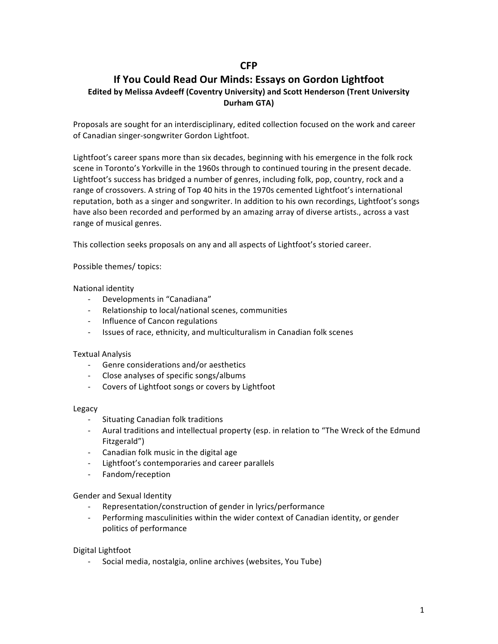# **CFP**

# **If You Could Read Our Minds: Essays on Gordon Lightfoot Edited by Melissa Avdeeff (Coventry University) and Scott Henderson (Trent University Durham GTA)**

Proposals are sought for an interdisciplinary, edited collection focused on the work and career of Canadian singer-songwriter Gordon Lightfoot.

Lightfoot's career spans more than six decades, beginning with his emergence in the folk rock scene in Toronto's Yorkville in the 1960s through to continued touring in the present decade. Lightfoot's success has bridged a number of genres, including folk, pop, country, rock and a range of crossovers. A string of Top 40 hits in the 1970s cemented Lightfoot's international reputation, both as a singer and songwriter. In addition to his own recordings, Lightfoot's songs have also been recorded and performed by an amazing array of diverse artists., across a vast range of musical genres.

This collection seeks proposals on any and all aspects of Lightfoot's storied career.

Possible themes/ topics:

### National identity

- Developments in "Canadiana"
- Relationship to local/national scenes, communities
- Influence of Cancon regulations
- Issues of race, ethnicity, and multiculturalism in Canadian folk scenes

### Textual Analysis

- Genre considerations and/or aesthetics
- Close analyses of specific songs/albums
- Covers of Lightfoot songs or covers by Lightfoot

### Legacy

- Situating Canadian folk traditions
- Aural traditions and intellectual property (esp. in relation to "The Wreck of the Edmund Fitzgerald")
- Canadian folk music in the digital age
- Lightfoot's contemporaries and career parallels
- Fandom/reception

Gender and Sexual Identity

- Representation/construction of gender in lyrics/performance
- Performing masculinities within the wider context of Canadian identity, or gender politics of performance

### Digital Lightfoot

Social media, nostalgia, online archives (websites, You Tube)